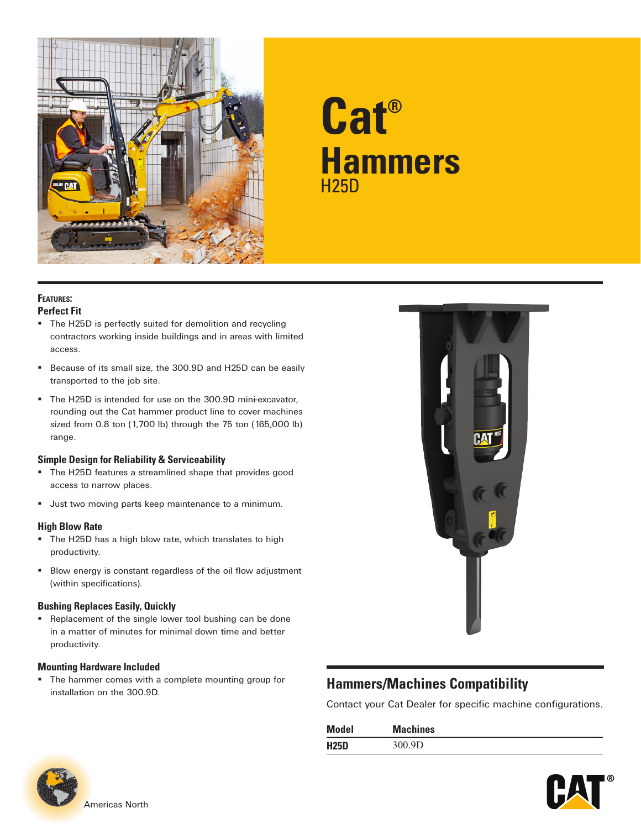

# **Cat® Hammers** H25D

#### **Features: Perfect Fit**

- The H25D is perfectly suited for demolition and recycling contractors working inside buildings and in areas with limited access.
- Because of its small size, the 300.9D and H25D can be easily transported to the job site.
- The H25D is intended for use on the 300.9D mini-excavator, rounding out the Cat hammer product line to cover machines sized from 0.8 ton (1,700 lb) through the 75 ton (165,000 lb) range.

#### **Simple Design for Reliability & Serviceability**

- **The H25D features a streamlined shape that provides good** access to narrow places.
- **Just two moving parts keep maintenance to a minimum.**

### **High Blow Rate**

- The H25D has a high blow rate, which translates to high productivity.
- Blow energy is constant regardless of the oil flow adjustment (within specifications).

#### **Bushing Replaces Easily, Quickly**

**Replacement of the single lower tool bushing can be done** in a matter of minutes for minimal down time and better productivity.

#### **Mounting Hardware Included**

**The hammer comes with a complete mounting group for** installation on the 300.9D. **Hammers/Machines Compatibility**



Contact your Cat Dealer for specific machine configurations.

| <b>Model</b> | <b>Machines</b> |
|--------------|-----------------|
| <b>H25D</b>  | 300.9D          |